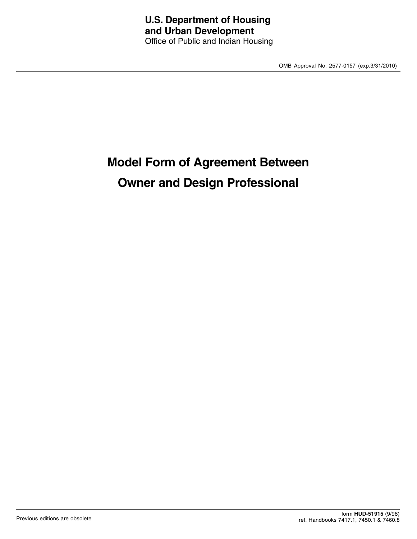OMB Approval No. 2577-0157 (exp.3/31/2010)

# **Model Form of Agreement Between Owner and Design Professional**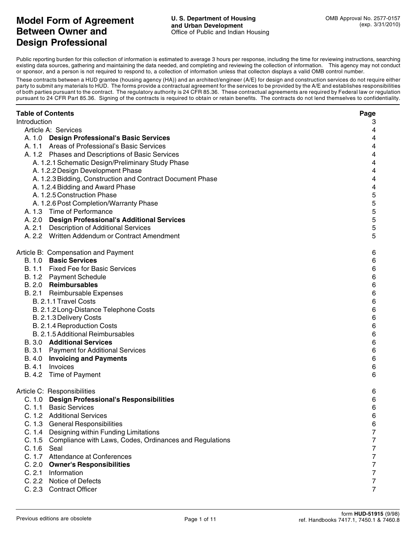# **Model Form of Agreement Between Owner and Design Professional**

Public reporting burden for this collection of information is estimated to average 3 hours per response, including the time for reviewing instructions, searching existing data sources, gathering and maintaining the data needed, and completing and reviewing the collection of information. This agency may not conduct or sponsor, and a person is not required to respond to, a collection of information unless that collecton displays a valid OMB control number.

These contracts between a HUD grantee (housing agency (HA)) and an architect/engineer (A/E) for design and construction services do not require either party to submit any materials to HUD. The forms provide a contractual agreement for the services to be provided by the A/E and establishes responsibilities of both parties pursuant to the contract. The regulatory authority is 24 CFR 85.36. These contractual agreements are required by Federal law or regulation pursuant to 24 CFR Part 85.36. Signing of the contracts is required to obtain or retain benefits. The contracts do not lend themselves to confidentiality.

| <b>Table of Contents</b>                                       | Page             |
|----------------------------------------------------------------|------------------|
| Introduction                                                   | З                |
| Article A: Services                                            | 4                |
| A. 1.0 Design Professional's Basic Services                    | 4                |
| A. 1.1 Areas of Professional's Basic Services                  | 4                |
| A. 1.2 Phases and Descriptions of Basic Services               | 4                |
| A. 1.2.1 Schematic Design/Preliminary Study Phase              | 4                |
| A. 1.2.2 Design Development Phase                              | 4                |
| A. 1.2.3 Bidding, Construction and Contract Document Phase     | 4                |
| A. 1.2.4 Bidding and Award Phase                               | 4                |
| A. 1.2.5 Construction Phase                                    | $\mathbf 5$      |
| A. 1.2.6 Post Completion/Warranty Phase                        | $\mathbf 5$      |
| A. 1.3 Time of Performance                                     | $\mathbf 5$      |
| A. 2.0 Design Professional's Additional Services               | $\mathbf 5$      |
| A. 2.1 Description of Additional Services                      | $\mathbf 5$      |
| A. 2.2 Written Addendum or Contract Amendment                  | 5                |
|                                                                |                  |
| Article B: Compensation and Payment                            | 6                |
| B. 1.0 Basic Services                                          | 6                |
| B. 1.1 Fixed Fee for Basic Services                            | $\,6$            |
| B. 1.2 Payment Schedule                                        | $\,6\,$          |
| B. 2.0 Reimbursables                                           | $\,6\,$          |
| B. 2.1 Reimbursable Expenses                                   | $\,6\,$          |
| B. 2.1.1 Travel Costs                                          | $\,6\,$          |
| B. 2.1.2 Long-Distance Telephone Costs                         | $\,6\,$          |
| B. 2.1.3 Delivery Costs                                        | $\,6\,$          |
| B. 2.1.4 Reproduction Costs                                    | $\,6\,$          |
| B. 2.1.5 Additional Reimbursables                              | $\,6\,$          |
| <b>B. 3.0 Additional Services</b>                              | $\,6$            |
| B. 3.1 Payment for Additional Services                         | $\,6$            |
| B. 4.0 Invoicing and Payments                                  | $\,6$            |
| Invoices<br>B. 4.1                                             | $\,6$            |
| B. 4.2<br>Time of Payment                                      | $\,6$            |
| Article C: Responsibilities                                    | 6                |
| C. 1.0 Design Professional's Responsibilities                  | 6                |
| C. 1.1 Basic Services                                          | 6                |
| C. 1.2 Additional Services                                     | 6                |
| C. 1.3 General Responsibilities                                | 6                |
| C. 1.4 Designing within Funding Limitations                    | $\overline{7}$   |
| C. 1.5 Compliance with Laws, Codes, Ordinances and Regulations | $\boldsymbol{7}$ |
| C. 1.6 Seal                                                    | $\overline{7}$   |
| C. 1.7 Attendance at Conferences                               | $\overline{7}$   |
| C. 2.0 Owner's Responsibilities                                | $\overline{7}$   |
| C. 2.1 Information                                             | $\overline{7}$   |
| C. 2.2 Notice of Defects                                       | $\overline{7}$   |
| C. 2.3 Contract Officer                                        | $\overline{7}$   |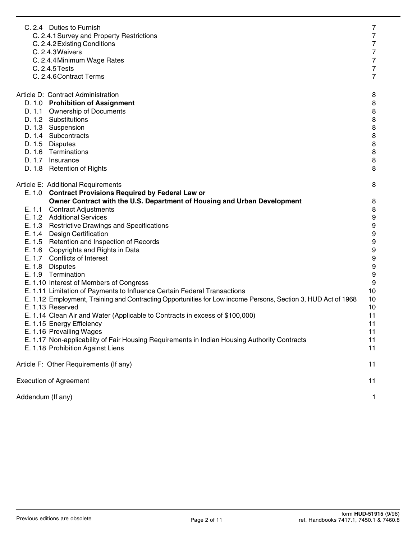|                   | C. 2.4 Duties to Furnish<br>C. 2.4.1 Survey and Property Restrictions                                         | $\overline{7}$<br>$\overline{7}$ |
|-------------------|---------------------------------------------------------------------------------------------------------------|----------------------------------|
|                   | C. 2.4.2 Existing Conditions                                                                                  | $\overline{7}$                   |
|                   | C. 2.4.3 Waivers                                                                                              | $\overline{7}$                   |
|                   | C. 2.4.4 Minimum Wage Rates                                                                                   | $\overline{7}$                   |
|                   | C. 2.4.5 Tests                                                                                                | $\overline{7}$                   |
|                   | C. 2.4.6 Contract Terms                                                                                       | $\overline{7}$                   |
|                   | Article D: Contract Administration                                                                            | 8                                |
|                   | D. 1.0 Prohibition of Assignment                                                                              | $\bf8$                           |
|                   | D. 1.1 Ownership of Documents                                                                                 | $\, 8$                           |
|                   | D. 1.2 Substitutions                                                                                          | $\bf 8$                          |
|                   | D. 1.3 Suspension                                                                                             | $\bf 8$                          |
|                   | D. 1.4 Subcontracts                                                                                           | $\bf 8$                          |
|                   | D. 1.5 Disputes                                                                                               | $\bf 8$                          |
|                   | D. 1.6 Terminations                                                                                           | $\bf 8$                          |
|                   | D. 1.7 Insurance                                                                                              | $\, 8$                           |
|                   | D. 1.8 Retention of Rights                                                                                    | 8                                |
|                   | Article E: Additional Requirements                                                                            | 8                                |
|                   | E. 1.0 Contract Provisions Required by Federal Law or                                                         |                                  |
|                   | Owner Contract with the U.S. Department of Housing and Urban Development                                      | 8                                |
|                   | E. 1.1 Contract Adjustments                                                                                   | $\,8\,$                          |
|                   | E. 1.2 Additional Services                                                                                    | $\boldsymbol{9}$                 |
|                   | E. 1.3 Restrictive Drawings and Specifications                                                                | $\boldsymbol{9}$                 |
|                   | E. 1.4 Design Certification                                                                                   | $\boldsymbol{9}$                 |
|                   | E. 1.5 Retention and Inspection of Records                                                                    | $\boldsymbol{9}$                 |
|                   | E. 1.6 Copyrights and Rights in Data                                                                          | $\boldsymbol{9}$                 |
|                   | E. 1.7 Conflicts of Interest                                                                                  | $\boldsymbol{9}$                 |
|                   | E. 1.8 Disputes                                                                                               | $\boldsymbol{9}$                 |
|                   | E. 1.9 Termination                                                                                            | $\boldsymbol{9}$                 |
|                   | E. 1.10 Interest of Members of Congress                                                                       | $\boldsymbol{9}$                 |
|                   | E. 1.11 Limitation of Payments to Influence Certain Federal Transactions                                      | 10                               |
|                   | E. 1.12 Employment, Training and Contracting Opportunities for Low income Persons, Section 3, HUD Act of 1968 | 10                               |
|                   | E. 1.13 Reserved                                                                                              | 10                               |
|                   | E. 1.14 Clean Air and Water (Applicable to Contracts in excess of \$100,000)                                  | 11                               |
|                   | E. 1.15 Energy Efficiency                                                                                     | 11                               |
|                   | E. 1.16 Prevailing Wages                                                                                      | 11                               |
|                   | E. 1.17 Non-applicability of Fair Housing Requirements in Indian Housing Authority Contracts                  | 11                               |
|                   | E. 1.18 Prohibition Against Liens                                                                             | 11                               |
|                   | Article F: Other Requirements (If any)                                                                        | 11                               |
|                   | <b>Execution of Agreement</b>                                                                                 | 11                               |
| Addendum (If any) |                                                                                                               | 1                                |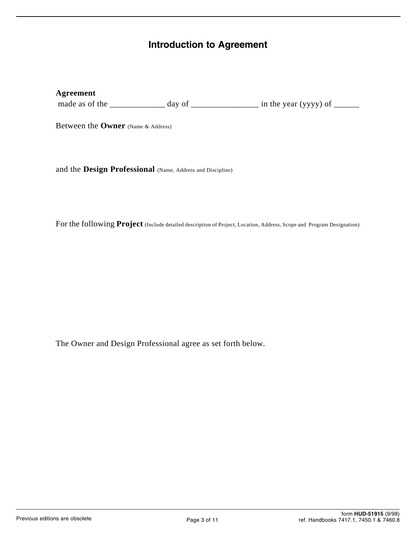# **Introduction to Agreement**

# **Agreement**

made as of the \_\_\_\_\_\_\_\_\_\_\_\_\_ day of \_\_\_\_\_\_\_\_\_\_\_\_\_\_\_\_ in the year (yyyy) of \_\_\_\_\_\_

Between the **Owner** (Name & Address)

and the **Design Professional** (Name, Address and Discipline)

For the following **Project** (Include detailed description of Project, Location, Address, Scope and Program Designation)

The Owner and Design Professional agree as set forth below.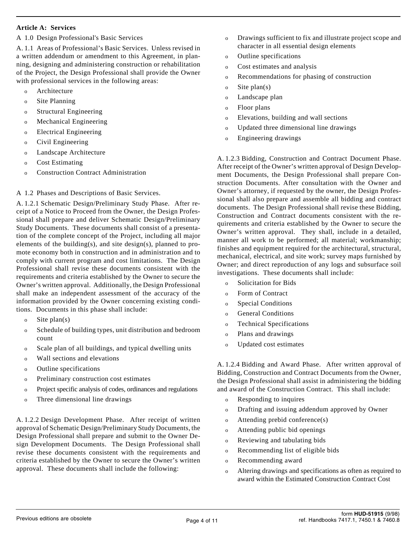#### **Article A: Services**

A 1.0 Design Professional's Basic Services

A. 1.1 Areas of Professional's Basic Services. Unless revised in a written addendum or amendment to this Agreement, in planning, designing and administering construction or rehabilitation of the Project, the Design Professional shall provide the Owner with professional services in the following areas:

- o Architecture
- o Site Planning
- o Structural Engineering
- o Mechanical Engineering
- o Electrical Engineering
- o Civil Engineering
- o Landscape Architecture
- o Cost Estimating
- o Construction Contract Administration

A 1.2 Phases and Descriptions of Basic Services.

A. 1.2.1 Schematic Design/Preliminary Study Phase. After receipt of a Notice to Proceed from the Owner, the Design Professional shall prepare and deliver Schematic Design/Preliminary Study Documents. These documents shall consist of a presentation of the complete concept of the Project, including all major elements of the building(s), and site design(s), planned to promote economy both in construction and in administration and to comply with current program and cost limitations. The Design Professional shall revise these documents consistent with the requirements and criteria established by the Owner to secure the Owner's written approval. Additionally, the Design Professional shall make an independent assessment of the accuracy of the information provided by the Owner concerning existing conditions. Documents in this phase shall include:

- o Site plan(s)
- o Schedule of building types, unit distribution and bedroom count
- o Scale plan of all buildings, and typical dwelling units
- o Wall sections and elevations
- o Outline specifications
- o Preliminary construction cost estimates
- o Project specific analysis of codes, ordinances and regulations
- o Three dimensional line drawings

A. 1.2.2 Design Development Phase. After receipt of written approval of Schematic Design/Preliminary Study Documents, the Design Professional shall prepare and submit to the Owner Design Development Documents. The Design Professional shall revise these documents consistent with the requirements and criteria established by the Owner to secure the Owner's written approval. These documents shall include the following:

- o Drawings sufficient to fix and illustrate project scope and character in all essential design elements
- o Outline specifications
- o Cost estimates and analysis
- o Recommendations for phasing of construction
- o Site plan(s)
- o Landscape plan
- o Floor plans
- o Elevations, building and wall sections
- o Updated three dimensional line drawings
- o Engineering drawings

A. 1.2.3 Bidding, Construction and Contract Document Phase. After receipt of the Owner's written approval of Design Development Documents, the Design Professional shall prepare Construction Documents. After consultation with the Owner and Owner's attorney, if requested by the owner, the Design Professional shall also prepare and assemble all bidding and contract documents. The Design Professional shall revise these Bidding, Construction and Contract documents consistent with the requirements and criteria established by the Owner to secure the Owner's written approval. They shall, include in a detailed, manner all work to be performed; all material; workmanship; finishes and equipment required for the architectural, structural, mechanical, electrical, and site work; survey maps furnished by Owner; and direct reproduction of any logs and subsurface soil investigations. These documents shall include:

- o Solicitation for Bids
- o Form of Contract
- o Special Conditions
- o General Conditions
- o Technical Specifications
- o Plans and drawings
- o Updated cost estimates

A. 1.2.4 Bidding and Award Phase. After written approval of Bidding, Construction and Contract Documents from the Owner, the Design Professional shall assist in administering the bidding and award of the Construction Contract. This shall include:

- o Responding to inquires
- o Drafting and issuing addendum approved by Owner
- o Attending prebid conference(s)
- o Attending public bid openings
- o Reviewing and tabulating bids
- o Recommending list of eligible bids
- o Recommending award
- o Altering drawings and specifications as often as required to award within the Estimated Construction Contract Cost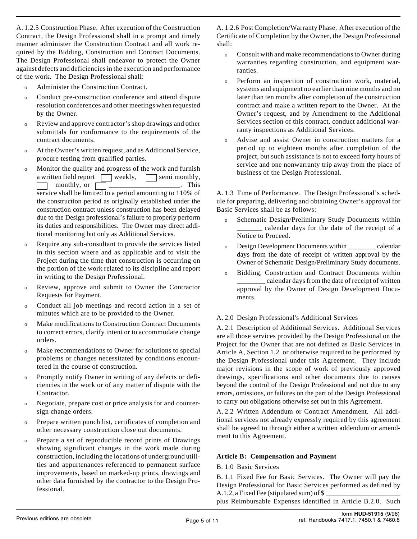A. 1.2.5 Construction Phase. After execution of the Construction Contract, the Design Professional shall in a prompt and timely manner administer the Construction Contract and all work required by the Bidding, Construction and Contract Documents. The Design Professional shall endeavor to protect the Owner against defects and deficiencies in the execution and performance of the work. The Design Professional shall:

- o Administer the Construction Contract.
- o Conduct pre-construction conference and attend dispute resolution conferences and other meetings when requested by the Owner.
- o Review and approve contractor's shop drawings and other submittals for conformance to the requirements of the contract documents.
- o At the Owner's written request, and as Additional Service, procure testing from qualified parties.
- o Monitor the quality and progress of the work and furnish a written field report  $\Box$  weekly,  $\Box$  semi monthly,  $\Box$  monthly, or  $\Box$ \_\_\_\_\_\_\_\_\_\_\_\_\_\_\_\_\_\_\_. This service shall be limited to a period amounting to 110% of the construction period as originally established under the construction contract unless construction has been delayed due to the Design professional's failure to properly perform its duties and responsibilities. The Owner may direct additional monitoring but only as Additional Services.
- o Require any sub-consultant to provide the services listed in this section where and as applicable and to visit the Project during the time that construction is occurring on the portion of the work related to its discipline and report in writing to the Design Professional.
- o Review, approve and submit to Owner the Contractor Requests for Payment.
- o Conduct all job meetings and record action in a set of minutes which are to be provided to the Owner.
- o Make modifications to Construction Contract Documents to correct errors, clarify intent or to accommodate change orders.
- o Make recommendations to Owner for solutions to special problems or changes necessitated by conditions encountered in the course of construction.
- o Promptly notify Owner in writing of any defects or deficiencies in the work or of any matter of dispute with the Contractor.
- Negotiate, prepare cost or price analysis for and countersign change orders.
- o Prepare written punch list, certificates of completion and other necessary construction close out documents.
- o Prepare a set of reproducible record prints of Drawings showing significant changes in the work made during construction, including the locations of underground utilities and appurtenances referenced to permanent surface improvements, based on marked-up prints, drawings and other data furnished by the contractor to the Design Professional.

A. 1.2.6 Post Completion/Warranty Phase. After execution of the Certificate of Completion by the Owner, the Design Professional shall:

- o Consult with and make recommendations to Owner during warranties regarding construction, and equipment warranties.
- o Perform an inspection of construction work, material, systems and equipment no earlier than nine months and no later than ten months after completion of the construction contract and make a written report to the Owner. At the Owner's request, and by Amendment to the Additional Services section of this contract, conduct additional warranty inspections as Additional Services.
- o Advise and assist Owner in construction matters for a period up to eighteen months after completion of the project, but such assistance is not to exceed forty hours of service and one nonwarranty trip away from the place of business of the Design Professional.

A. 1.3 Time of Performance. The Design Professional's schedule for preparing, delivering and obtaining Owner's approval for Basic Services shall be as follows:

- o Schematic Design/Preliminary Study Documents within \_\_\_\_\_\_\_ calendar days for the date of the receipt of a Notice to Proceed.
- o Design Development Documents within \_\_\_\_\_\_\_\_ calendar days from the date of receipt of written approval by the Owner of Schematic Design/Preliminary Study documents.
- o Bidding, Construction and Contract Documents within \_calendar days from the date of receipt of written approval by the Owner of Design Development Documents.

# A. 2.0 Design Professional's Additional Services

A. 2.1 Description of Additional Services. Additional Services are all those services provided by the Design Professional on the Project for the Owner that are not defined as Basic Services in Article A, Section 1.2 or otherwise required to be performed by the Design Professional under this Agreement. They include major revisions in the scope of work of previously approved drawings, specifications and other documents due to causes beyond the control of the Design Professional and not due to any errors, omissions, or failures on the part of the Design Professional to carry out obligations otherwise set out in this Agreement.

A. 2.2 Written Addendum or Contract Amendment. All additional services not already expressly required by this agreement shall be agreed to through either a written addendum or amendment to this Agreement.

# **Article B: Compensation and Payment**

#### B. 1.0 Basic Services

B. 1.1 Fixed Fee for Basic Services. The Owner will pay the Design Professional for Basic Services performed as defined by A.1.2, a Fixed Fee (stipulated sum) of \$

plus Reimbursable Expenses identified in Article B.2.0. Such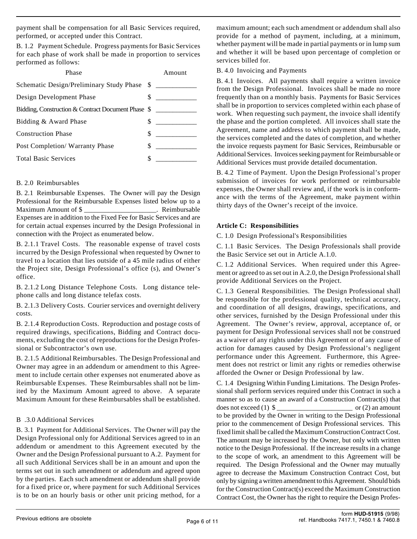payment shall be compensation for all Basic Services required, performed, or accepted under this Contract.

B. 1.2 Payment Schedule. Progress payments for Basic Services for each phase of work shall be made in proportion to services performed as follows:

| Phase                                              |   | Amount |
|----------------------------------------------------|---|--------|
| Schematic Design/Preliminary Study Phase \$        |   |        |
| Design Development Phase                           |   |        |
| Bidding, Construction & Contract Document Phase \$ |   |        |
| Bidding & Award Phase                              | S |        |
| <b>Construction Phase</b>                          | S |        |
| Post Completion/Warranty Phase                     | S |        |
| <b>Total Basic Services</b>                        |   |        |

#### B. 2.0 Reimbursables

B. 2.1 Reimbursable Expenses. The Owner will pay the Design Professional for the Reimbursable Expenses listed below up to a Maximum Amount of \$ \_\_\_\_\_\_\_\_\_\_\_\_\_\_\_\_\_\_\_\_\_. Reimbursable Expenses are in addition to the Fixed Fee for Basic Services and are for certain actual expenses incurred by the Design Professional in connection with the Project as enumerated below.

B. 2.1.1 Travel Costs. The reasonable expense of travel costs incurred by the Design Professional when requested by Owner to travel to a location that lies outside of a 45 mile radius of either the Project site, Design Professional's office (s), and Owner's office.

B. 2.1.2 Long Distance Telephone Costs. Long distance telephone calls and long distance telefax costs.

B. 2.1.3 Delivery Costs. Courier services and overnight delivery costs.

B. 2.1.4 Reproduction Costs. Reproduction and postage costs of required drawings, specifications, Bidding and Contract documents, excluding the cost of reproductions for the Design Professional or Subcontractor's own use.

B. 2.1.5 Additional Reimbursables. The Design Professional and Owner may agree in an addendum or amendment to this Agreement to include certain other expenses not enumerated above as Reimbursable Expenses. These Reimbursables shall not be limited by the Maximum Amount agreed to above. A separate Maximum Amount for these Reimbursables shall be established.

# B .3.0 Additional Services

B. 3.1 Payment for Additional Services. The Owner will pay the Design Professional only for Additional Services agreed to in an addendum or amendment to this Agreement executed by the Owner and the Design Professional pursuant to A.2. Payment for all such Additional Services shall be in an amount and upon the terms set out in such amendment or addendum and agreed upon by the parties. Each such amendment or addendum shall provide for a fixed price or, where payment for such Additional Services is to be on an hourly basis or other unit pricing method, for a

maximum amount; each such amendment or addendum shall also provide for a method of payment, including, at a minimum, whether payment will be made in partial payments or in lump sum and whether it will be based upon percentage of completion or services billed for.

B. 4.0 Invoicing and Payments

B. 4.1 Invoices. All payments shall require a written invoice from the Design Professional. Invoices shall be made no more frequently than on a monthly basis. Payments for Basic Services shall be in proportion to services completed within each phase of work. When requesting such payment, the invoice shall identify the phase and the portion completed. All invoices shall state the Agreement, name and address to which payment shall be made, the services completed and the dates of completion, and whether the invoice requests payment for Basic Services, Reimbursable or Additional Services. Invoices seeking payment for Reimbursable or Additional Services must provide detailed documentation.

B. 4.2 Time of Payment. Upon the Design Professional's proper submission of invoices for work performed or reimbursable expenses, the Owner shall review and, if the work is in conformance with the terms of the Agreement, make payment within thirty days of the Owner's receipt of the invoice.

#### **Article C: Responsibilities**

C. 1.0 Design Professional's Responsibilities

C. 1.1 Basic Services. The Design Professionals shall provide the Basic Service set out in Article A.1.0.

C. 1.2 Additional Services. When required under this Agreement or agreed to as set out in A.2.0, the Design Professional shall provide Additional Services on the Project.

C. 1.3 General Responsibilities. The Design Professional shall be responsible for the professional quality, technical accuracy, and coordination of all designs, drawings, specifications, and other services, furnished by the Design Professional under this Agreement. The Owner's review, approval, acceptance of, or payment for Design Professional services shall not be construed as a waiver of any rights under this Agreement or of any cause of action for damages caused by Design Professional's negligent performance under this Agreement. Furthermore, this Agreement does not restrict or limit any rights or remedies otherwise afforded the Owner or Design Professional by law.

C. 1.4 Designing Within Funding Limitations. The Design Professional shall perform services required under this Contract in such a manner so as to cause an award of a Construction Contract(s) that does not exceed (1) \$ \_\_\_\_\_\_\_\_\_\_\_\_\_\_\_\_\_\_\_\_\_\_ or (2) an amount to be provided by the Owner in writing to the Design Professional prior to the commencement of Design Professional services. This fixed limit shall be called the Maximum Construction Contract Cost. The amount may be increased by the Owner, but only with written notice to the Design Professional. If the increase results in a change to the scope of work, an amendment to this Agreement will be required. The Design Professional and the Owner may mutually agree to decrease the Maximum Construction Contract Cost, but only by signing a written amendment to this Agreement. Should bids for the Construction Contract(s) exceed the Maximum Construction Contract Cost, the Owner has the right to require the Design Profes-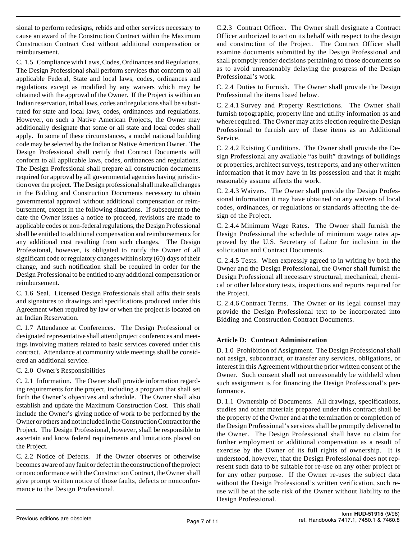sional to perform redesigns, rebids and other services necessary to cause an award of the Construction Contract within the Maximum Construction Contract Cost without additional compensation or reimbursement.

C. 1.5 Compliance with Laws, Codes, Ordinances and Regulations. The Design Professional shall perform services that conform to all applicable Federal, State and local laws, codes, ordinances and regulations except as modified by any waivers which may be obtained with the approval of the Owner. If the Project is within an Indian reservation, tribal laws, codes and regulations shall be substituted for state and local laws, codes, ordinances and regulations. However, on such a Native American Projects, the Owner may additionally designate that some or all state and local codes shall apply. In some of these circumstances, a model national building code may be selected by the Indian or Native American Owner. The Design Professional shall certify that Contract Documents will conform to all applicable laws, codes, ordinances and regulations. The Design Professional shall prepare all construction documents required for approval by all governmental agencies having jurisdiction over the project. The Design professional shall make all changes in the Bidding and Construction Documents necessary to obtain governmental approval without additional compensation or reimbursement, except in the following situations. If subsequent to the date the Owner issues a notice to proceed, revisions are made to applicable codes or non-federal regulations, the Design Professional shall be entitled to additional compensation and reimbursements for any additional cost resulting from such changes. The Design Professional, however, is obligated to notify the Owner of all significant code or regulatory changes within sixty (60) days of their change, and such notification shall be required in order for the Design Professional to be entitled to any additional compensation or reimbursement.

C. 1.6 Seal. Licensed Design Professionals shall affix their seals and signatures to drawings and specifications produced under this Agreement when required by law or when the project is located on an Indian Reservation.

C. 1.7 Attendance at Conferences. The Design Professional or designated representative shall attend project conferences and meetings involving matters related to basic services covered under this contract. Attendance at community wide meetings shall be considered an additional service.

# C. 2.0 Owner's Responsibilities

C. 2.1 Information. The Owner shall provide information regarding requirements for the project, including a program that shall set forth the Owner's objectives and schedule. The Owner shall also establish and update the Maximum Construction Cost. This shall include the Owner's giving notice of work to be performed by the Owner or others and not included in the Construction Contract for the Project. The Design Professional, however, shall be responsible to ascertain and know federal requirements and limitations placed on the Project.

C. 2.2 Notice of Defects. If the Owner observes or otherwise becomes aware of any fault or defect in the construction of the project or nonconformance with the Construction Contract, the Owner shall give prompt written notice of those faults, defects or nonconformance to the Design Professional.

C.2.3 Contract Officer. The Owner shall designate a Contract Officer authorized to act on its behalf with respect to the design and construction of the Project. The Contract Officer shall examine documents submitted by the Design Professional and shall promptly render decisions pertaining to those documents so as to avoid unreasonably delaying the progress of the Design Professional's work.

C. 2.4 Duties to Furnish. The Owner shall provide the Design Professional the items listed below.

C. 2.4.1 Survey and Property Restrictions. The Owner shall furnish topographic, property line and utility information as and where required. The Owner may at its election require the Design Professional to furnish any of these items as an Additional Service.

C. 2.4.2 Existing Conditions. The Owner shall provide the Design Professional any available "as built" drawings of buildings or properties, architect surveys, test reports, and any other written information that it may have in its possession and that it might reasonably assume affects the work.

C. 2.4.3 Waivers. The Owner shall provide the Design Professional information it may have obtained on any waivers of local codes, ordinances, or regulations or standards affecting the design of the Project.

C. 2.4.4 Minimum Wage Rates. The Owner shall furnish the Design Professional the schedule of minimum wage rates approved by the U.S. Secretary of Labor for inclusion in the solicitation and Contract Documents.

C. 2.4.5 Tests. When expressly agreed to in writing by both the Owner and the Design Professional, the Owner shall furnish the Design Professional all necessary structural, mechanical, chemical or other laboratory tests, inspections and reports required for the Project.

C. 2.4.6 Contract Terms. The Owner or its legal counsel may provide the Design Professional text to be incorporated into Bidding and Construction Contract Documents.

# **Article D: Contract Administration**

D. 1.0 Prohibition of Assignment. The Design Professional shall not assign, subcontract, or transfer any services, obligations, or interest in this Agreement without the prior written consent of the Owner. Such consent shall not unreasonably be withheld when such assignment is for financing the Design Professional's performance.

D. 1.1 Ownership of Documents. All drawings, specifications, studies and other materials prepared under this contract shall be the property of the Owner and at the termination or completion of the Design Professional's services shall be promptly delivered to the Owner. The Design Professional shall have no claim for further employment or additional compensation as a result of exercise by the Owner of its full rights of ownership. It is understood, however, that the Design Professional does not represent such data to be suitable for re-use on any other project or for any other purpose. If the Owner re-uses the subject data without the Design Professional's written verification, such reuse will be at the sole risk of the Owner without liability to the Design Professional.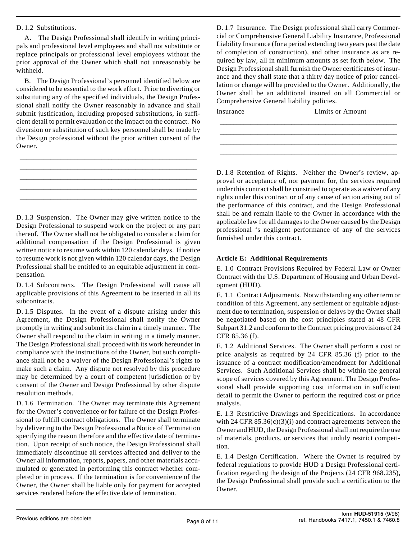#### D. 1.2 Substitutions.

A. The Design Professional shall identify in writing principals and professional level employees and shall not substitute or replace principals or professional level employees without the prior approval of the Owner which shall not unreasonably be withheld.

B. The Design Professional's personnel identified below are considered to be essential to the work effort. Prior to diverting or substituting any of the specified individuals, the Design Professional shall notify the Owner reasonably in advance and shall submit justification, including proposed substitutions, in sufficient detail to permit evaluation of the impact on the contract. No diversion or substitution of such key personnel shall be made by the Design professional without the prior written consent of the Owner.

\_\_\_\_\_\_\_\_\_\_\_\_\_\_\_\_\_\_\_\_\_\_\_\_\_\_\_\_\_\_\_\_\_\_\_\_\_\_\_\_\_\_\_\_\_\_\_\_\_\_\_\_ \_\_\_\_\_\_\_\_\_\_\_\_\_\_\_\_\_\_\_\_\_\_\_\_\_\_\_\_\_\_\_\_\_\_\_\_\_\_\_\_\_\_\_\_\_\_\_\_\_\_\_\_ \_\_\_\_\_\_\_\_\_\_\_\_\_\_\_\_\_\_\_\_\_\_\_\_\_\_\_\_\_\_\_\_\_\_\_\_\_\_\_\_\_\_\_\_\_\_\_\_\_\_\_\_ \_\_\_\_\_\_\_\_\_\_\_\_\_\_\_\_\_\_\_\_\_\_\_\_\_\_\_\_\_\_\_\_\_\_\_\_\_\_\_\_\_\_\_\_\_\_\_\_\_\_\_\_ \_\_\_\_\_\_\_\_\_\_\_\_\_\_\_\_\_\_\_\_\_\_\_\_\_\_\_\_\_\_\_\_\_\_\_\_\_\_\_\_\_\_\_\_\_\_\_\_\_\_\_\_

D. 1.3 Suspension. The Owner may give written notice to the Design Professional to suspend work on the project or any part thereof. The Owner shall not be obligated to consider a claim for additional compensation if the Design Professional is given written notice to resume work within 120 calendar days. If notice to resume work is not given within 120 calendar days, the Design Professional shall be entitled to an equitable adjustment in compensation.

D. 1.4 Subcontracts. The Design Professional will cause all applicable provisions of this Agreement to be inserted in all its subcontracts.

D. 1.5 Disputes. In the event of a dispute arising under this Agreement, the Design Professional shall notify the Owner promptly in writing and submit its claim in a timely manner. The Owner shall respond to the claim in writing in a timely manner. The Design Professional shall proceed with its work hereunder in compliance with the instructions of the Owner, but such compliance shall not be a waiver of the Design Professional's rights to make such a claim. Any dispute not resolved by this procedure may be determined by a court of competent jurisdiction or by consent of the Owner and Design Professional by other dispute resolution methods.

D. 1.6 Termination. The Owner may terminate this Agreement for the Owner's convenience or for failure of the Design Professional to fulfill contract obligations. The Owner shall terminate by delivering to the Design Professional a Notice of Termination specifying the reason therefore and the effective date of termination. Upon receipt of such notice, the Design Professional shall immediately discontinue all services affected and deliver to the Owner all information, reports, papers, and other materials accumulated or generated in performing this contract whether completed or in process. If the termination is for convenience of the Owner, the Owner shall be liable only for payment for accepted services rendered before the effective date of termination.

D. 1.7 Insurance. The Design professional shall carry Commercial or Comprehensive General Liability Insurance, Professional Liability Insurance (for a period extending two years past the date of completion of construction), and other insurance as are required by law, all in minimum amounts as set forth below. The Design Professional shall furnish the Owner certificates of insurance and they shall state that a thirty day notice of prior cancellation or change will be provided to the Owner. Additionally, the Owner shall be an additional insured on all Commercial or Comprehensive General liability policies.

\_\_\_\_\_\_\_\_\_\_\_\_\_\_\_\_\_\_\_\_\_\_\_\_\_\_\_\_\_\_\_\_\_\_\_\_\_\_\_\_\_\_\_\_\_\_\_\_\_\_\_\_ \_\_\_\_\_\_\_\_\_\_\_\_\_\_\_\_\_\_\_\_\_\_\_\_\_\_\_\_\_\_\_\_\_\_\_\_\_\_\_\_\_\_\_\_\_\_\_\_\_\_\_\_ \_\_\_\_\_\_\_\_\_\_\_\_\_\_\_\_\_\_\_\_\_\_\_\_\_\_\_\_\_\_\_\_\_\_\_\_\_\_\_\_\_\_\_\_\_\_\_\_\_\_\_\_ \_\_\_\_\_\_\_\_\_\_\_\_\_\_\_\_\_\_\_\_\_\_\_\_\_\_\_\_\_\_\_\_\_\_\_\_\_\_\_\_\_\_\_\_\_\_\_\_\_\_\_\_

Insurance Limits or Amount

D. 1.8 Retention of Rights. Neither the Owner's review, approval or acceptance of, nor payment for, the services required under this contract shall be construed to operate as a waiver of any rights under this contract or of any cause of action arising out of the performance of this contract, and the Design Professional shall be and remain liable to the Owner in accordance with the applicable law for all damages to the Owner caused by the Design professional 's negligent performance of any of the services furnished under this contract.

#### **Article E: Additional Requirements**

E. 1.0 Contract Provisions Required by Federal Law or Owner Contract with the U.S. Department of Housing and Urban Development (HUD).

E. 1.1 Contract Adjustments. Notwithstanding any other term or condition of this Agreement, any settlement or equitable adjustment due to termination, suspension or delays by the Owner shall be negotiated based on the cost principles stated at 48 CFR Subpart 31.2 and conform to the Contract pricing provisions of 24 CFR 85.36 (f).

E. 1.2 Additional Services. The Owner shall perform a cost or price analysis as required by 24 CFR 85.36 (f) prior to the issuance of a contract modification/amendment for Additional Services. Such Additional Services shall be within the general scope of services covered by this Agreement. The Design Professional shall provide supporting cost information in sufficient detail to permit the Owner to perform the required cost or price analysis.

E. 1.3 Restrictive Drawings and Specifications. In accordance with 24 CFR  $85.36(c)(3)(i)$  and contract agreements between the Owner and HUD, the Design Professional shall not require the use of materials, products, or services that unduly restrict competition.

E. 1.4 Design Certification. Where the Owner is required by federal regulations to provide HUD a Design Professional certification regarding the design of the Projects (24 CFR 968.235), the Design Professional shall provide such a certification to the Owner.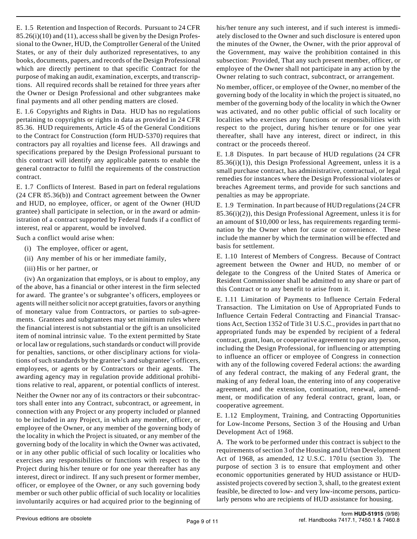E. 1.5 Retention and Inspection of Records. Pursuant to 24 CFR 85.26(i)(10) and (11), access shall be given by the Design Professional to the Owner, HUD, the Comptroller General of the United States, or any of their duly authorized representatives, to any books, documents, papers, and records of the Design Professional which are directly pertinent to that specific Contract for the purpose of making an audit, examination, excerpts, and transcriptions. All required records shall be retained for three years after the Owner or Design Professional and other subgrantees make final payments and all other pending matters are closed.

E. 1.6 Copyrights and Rights in Data. HUD has no regulations pertaining to copyrights or rights in data as provided in 24 CFR 85.36. HUD requirements, Article 45 of the General Conditions to the Contract for Construction (form HUD-5370) requires that contractors pay all royalties and license fees. All drawings and specifications prepared by the Design Professional pursuant to this contract will identify any applicable patents to enable the general contractor to fulfil the requirements of the construction contract.

E. 1.7 Conflicts of Interest. Based in part on federal regulations (24 CFR 85.36(b)) and Contract agreement between the Owner and HUD, no employee, officer, or agent of the Owner (HUD grantee) shall participate in selection, or in the award or administration of a contract supported by Federal funds if a conflict of interest, real or apparent, would be involved.

Such a conflict would arise when:

- (i) The employee, officer or agent,
- (ii) Any member of his or her immediate family,
- (iii) His or her partner, or

(iv) An organization that employs, or is about to employ, any of the above, has a financial or other interest in the firm selected for award. The grantee's or subgrantee's officers, employees or agents will neither solicit nor accept gratuities, favors or anything of monetary value from Contractors, or parties to sub-agreements. Grantees and subgrantees may set minimum rules where the financial interest is not substantial or the gift is an unsolicited item of nominal intrinsic value. To the extent permitted by State or local law or regulations, such standards or conduct will provide for penalties, sanctions, or other disciplinary actions for violations of such standards by the grantee's and subgrantee's officers, employees, or agents or by Contractors or their agents. The awarding agency may in regulation provide additional prohibitions relative to real, apparent, or potential conflicts of interest.

Neither the Owner nor any of its contractors or their subcontractors shall enter into any Contract, subcontract, or agreement, in connection with any Project or any property included or planned to be included in any Project, in which any member, officer, or employee of the Owner, or any member of the governing body of the locality in which the Project is situated, or any member of the governing body of the locality in which the Owner was activated, or in any other public official of such locality or localities who exercises any responsibilities or functions with respect to the Project during his/her tenure or for one year thereafter has any interest, direct or indirect. If any such present or former member, officer, or employee of the Owner, or any such governing body member or such other public official of such locality or localities involuntarily acquires or had acquired prior to the beginning of

his/her tenure any such interest, and if such interest is immediately disclosed to the Owner and such disclosure is entered upon the minutes of the Owner, the Owner, with the prior approval of the Government, may waive the prohibition contained in this subsection: Provided, That any such present member, officer, or employee of the Owner shall not participate in any action by the Owner relating to such contract, subcontract, or arrangement.

No member, officer, or employee of the Owner, no member of the governing body of the locality in which the project is situated, no member of the governing body of the locality in which the Owner was activated, and no other public official of such locality or localities who exercises any functions or responsibilities with respect to the project, during his/her tenure or for one year thereafter, shall have any interest, direct or indirect, in this contract or the proceeds thereof.

E. 1.8 Disputes. In part because of HUD regulations (24 CFR  $85.36(i)(1)$ , this Design Professional Agreement, unless it is a small purchase contract, has administrative, contractual, or legal remedies for instances where the Design Professional violates or breaches Agreement terms, and provide for such sanctions and penalties as may be appropriate.

E. 1.9 Termination. In part because of HUD regulations (24 CFR 85.36(i)(2)), this Design Professional Agreement, unless it is for an amount of \$10,000 or less, has requirements regarding termination by the Owner when for cause or convenience. These include the manner by which the termination will be effected and basis for settlement.

E. 1.10 Interest of Members of Congress. Because of Contract agreement between the Owner and HUD, no member of or delegate to the Congress of the United States of America or Resident Commissioner shall be admitted to any share or part of this Contract or to any benefit to arise from it.

E. 1.11 Limitation of Payments to Influence Certain Federal Transaction. The Limitation on Use of Appropriated Funds to Influence Certain Federal Contracting and Financial Transactions Act, Section 1352 of Title 31 U.S.C., provides in part that no appropriated funds may be expended by recipient of a federal contract, grant, loan, or cooperative agreement to pay any person, including the Design Professional, for influencing or attempting to influence an officer or employee of Congress in connection with any of the following covered Federal actions: the awarding of any federal contract, the making of any Federal grant, the making of any federal loan, the entering into of any cooperative agreement, and the extension, continuation, renewal, amendment, or modification of any federal contract, grant, loan, or cooperative agreement.

E. 1.12 Employment, Training, and Contracting Opportunities for Low-Income Persons, Section 3 of the Housing and Urban Development Act of 1968.

A. The work to be performed under this contract is subject to the requirements of section 3 of the Housing and Urban Development Act of 1968, as amended, 12 U.S.C. 1701u (section 3). The purpose of section 3 is to ensure that employment and other economic opportunities generated by HUD assistance or HUDassisted projects covered by section 3, shall, to the greatest extent feasible, be directed to low- and very low-income persons, particularly persons who are recipients of HUD assistance for housing.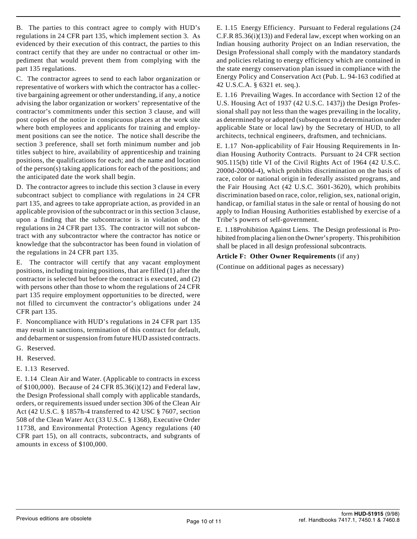B. The parties to this contract agree to comply with HUD's regulations in 24 CFR part 135, which implement section 3. As evidenced by their execution of this contract, the parties to this contract certify that they are under no contractual or other impediment that would prevent them from complying with the part 135 regulations.

C. The contractor agrees to send to each labor organization or representative of workers with which the contractor has a collective bargaining agreement or other understanding, if any, a notice advising the labor organization or workers' representative of the contractor's commitments under this section 3 clause, and will post copies of the notice in conspicuous places at the work site where both employees and applicants for training and employment positions can see the notice. The notice shall describe the section 3 preference, shall set forth minimum number and job titles subject to hire, availability of apprenticeship and training positions, the qualifications for each; and the name and location of the person(s) taking applications for each of the positions; and the anticipated date the work shall begin.

D. The contractor agrees to include this section 3 clause in every subcontract subject to compliance with regulations in 24 CFR part 135, and agrees to take appropriate action, as provided in an applicable provision of the subcontract or in this section 3 clause, upon a finding that the subcontractor is in violation of the regulations in 24 CFR part 135. The contractor will not subcontract with any subcontractor where the contractor has notice or knowledge that the subcontractor has been found in violation of the regulations in 24 CFR part 135.

E. The contractor will certify that any vacant employment positions, including training positions, that are filled (1) after the contractor is selected but before the contract is executed, and (2) with persons other than those to whom the regulations of 24 CFR part 135 require employment opportunities to be directed, were not filled to circumvent the contractor's obligations under 24 CFR part 135.

F. Noncompliance with HUD's regulations in 24 CFR part 135 may result in sanctions, termination of this contract for default, and debarment or suspension from future HUD assisted contracts.

- G. Reserved.
- H. Reserved.
- E. 1.13 Reserved.

E. 1.14 Clean Air and Water. (Applicable to contracts in excess of \$100,000). Because of 24 CFR 85.36(i)(12) and Federal law, the Design Professional shall comply with applicable standards, orders, or requirements issued under section 306 of the Clean Air Act (42 U.S.C. § 1857h-4 transferred to 42 USC § 7607, section 508 of the Clean Water Act (33 U.S.C. § 1368), Executive Order 11738, and Environmental Protection Agency regulations (40 CFR part 15), on all contracts, subcontracts, and subgrants of amounts in excess of \$100,000.

E. 1.15 Energy Efficiency. Pursuant to Federal regulations (24 C.F.R 85.36(i)(13)) and Federal law, except when working on an Indian housing authority Project on an Indian reservation, the Design Professional shall comply with the mandatory standards and policies relating to energy efficiency which are contained in the state energy conservation plan issued in compliance with the Energy Policy and Conservation Act (Pub. L. 94-163 codified at 42 U.S.C.A. § 6321 et. seq.).

E. 1.16 Prevailing Wages. In accordance with Section 12 of the U.S. Housing Act of 1937 (42 U.S.C. 1437j) the Design Professional shall pay not less than the wages prevailing in the locality, as determined by or adopted (subsequent to a determination under applicable State or local law) by the Secretary of HUD, to all architects, technical engineers, draftsmen, and technicians.

E. 1.17 Non-applicability of Fair Housing Requirements in Indian Housing Authority Contracts. Pursuant to 24 CFR section 905.115(b) title VI of the Civil Rights Act of 1964 (42 U.S.C. 2000d-2000d-4), which prohibits discrimination on the basis of race, color or national origin in federally assisted programs, and the Fair Housing Act (42 U.S.C. 3601-3620), which prohibits discrimination based on race, color, religion, sex, national origin, handicap, or familial status in the sale or rental of housing do not apply to Indian Housing Authorities established by exercise of a Tribe's powers of self-government.

E. 1.18Prohibition Against Liens. The Design professional is Prohibited from placing a lien on the Owner's property. This prohibition shall be placed in all design professional subcontracts.

# **Article F: Other Owner Requirements** (if any)

(Continue on additional pages as necessary)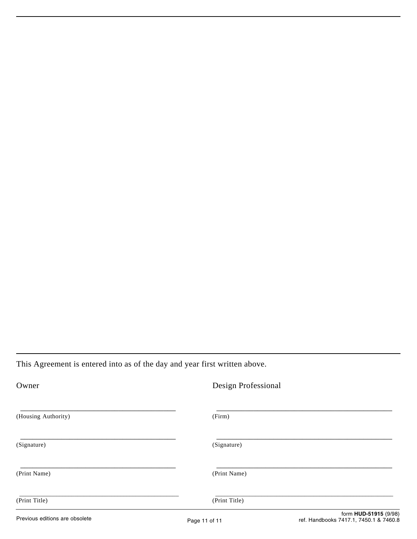This Agreement is entered into as of the day and year first written above.

| Owner                          | Design Professional |                                                                 |
|--------------------------------|---------------------|-----------------------------------------------------------------|
| (Housing Authority)            | (Firm)              |                                                                 |
| (Signature)                    | (Signature)         |                                                                 |
| (Print Name)                   | (Print Name)        |                                                                 |
| (Print Title)                  | (Print Title)       |                                                                 |
| Previous editions are obsolete | Page 11 of 11       | form HUD-51915 (9/98)<br>ref. Handbooks 7417.1, 7450.1 & 7460.8 |